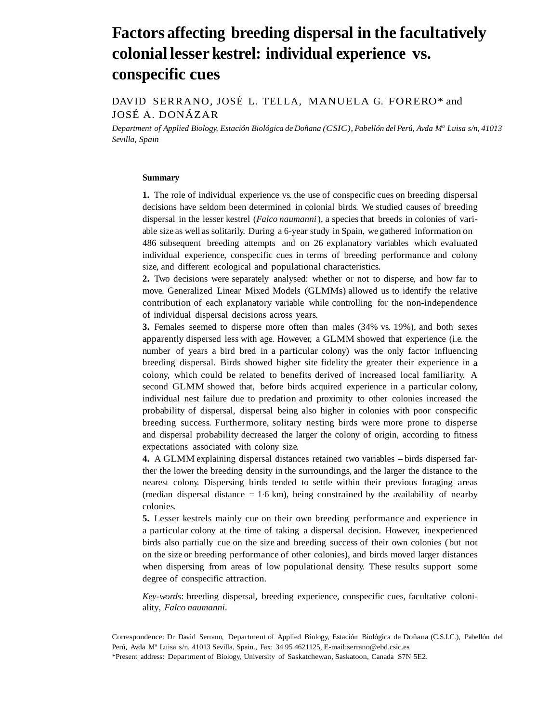# **Factors affecting breeding dispersal in the facultatively colonial lesser kestrel: individual experience vs. conspecific cues**

DAVID SERRANO, JOSÉ L. TELLA, MANUELA G. FORERO\* and JOSÉ A. DONÁZAR

*Department of Applied Biology, Estación Biológica de Doñana (CSIC), Pabellón del Perú, Avda Mª Luisa s/n, 41013 Sevilla, Spain*

### **Summary**

**1.** The role of individual experience vs. the use of conspecific cues on breeding dispersal decisions have seldom been determined in colonial birds. We studied causes of breeding dispersal in the lesser kestrel (*Falco naumanni*), a species that breeds in colonies of variable size as well as solitarily. During a 6-year study in Spain, we gathered information on 486 subsequent breeding attempts and on 26 explanatory variables which evaluated individual experience, conspecific cues in terms of breeding performance and colony size, and different ecological and populational characteristics.

**2.** Two decisions were separately analysed: whether or not to disperse, and how far to move. Generalized Linear Mixed Models (GLMMs) allowed us to identify the relative contribution of each explanatory variable while controlling for the non-independence of individual dispersal decisions across years.

**3.** Females seemed to disperse more often than males (34% vs. 19%), and both sexes apparently dispersed less with age. However, a GLMM showed that experience (i.e. the number of years a bird bred in a particular colony) was the only factor influencing breeding dispersal. Birds showed higher site fidelity the greater their experience in a colony, which could be related to benefits derived of increased local familiarity. A second GLMM showed that, before birds acquired experience in a particular colony, individual nest failure due to predation and proximity to other colonies increased the probability of dispersal, dispersal being also higher in colonies with poor conspecific breeding success. Furthermore, solitary nesting birds were more prone to disperse and dispersal probability decreased the larger the colony of origin, according to fitness expectations associated with colony size.

**4.** A GLMM explaining dispersal distances retained two variables – birds dispersed farther the lower the breeding density in the surroundings, and the larger the distance to the nearest colony. Dispersing birds tended to settle within their previous foraging areas (median dispersal distance  $= 1.6$  km), being constrained by the availability of nearby colonies.

**5.** Lesser kestrels mainly cue on their own breeding performance and experience in a particular colony at the time of taking a dispersal decision. However, inexperienced birds also partially cue on the size and breeding success of their own colonies ( but not on the size or breeding performance of other colonies), and birds moved larger distances when dispersing from areas of low populational density. These results support some degree of conspecific attraction.

*Key-words*: breeding dispersal, breeding experience, conspecific cues, facultative coloniality, *Falco naumanni*.

Correspondence: Dr David Serrano, Department of Applied Biology, Estación Biológica de Doñana (C.S.I.C.), Pabellón del Perú, Avda Mª Luisa s/n, 41013 Sevilla, Spain., Fax: 34 95 4621125[, E-mail:serrano@ebd.csic.es](mailto:serrano@ebd.csic.es) \*Present address: Department of Biology, University of Saskatchewan, Saskatoon, Canada S7N 5E2.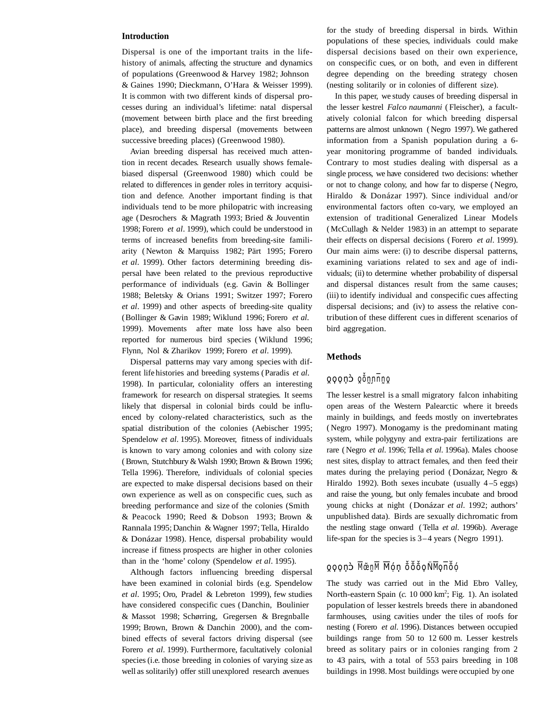### **Introduction**

Dispersal is one of the important traits in the lifehistory of animals, affecting the structure and dynamics of populations (Greenwood & Harvey 1982; Johnson & Gaines 1990; Dieckmann, O'Hara & Weisser 1999). It is common with two different kinds of dispersal processes during an individual's lifetime: natal dispersal (movement between birth place and the first breeding place), and breeding dispersal (movements between successive breeding places) (Greenwood 1980).

Avian breeding dispersal has received much attention in recent decades. Research usually shows femalebiased dispersal (Greenwood 1980) which could be related to differences in gender roles in territory acquisition and defence. Another important finding is that individuals tend to be more philopatric with increasing age (Desrochers & Magrath 1993; Bried & Jouventin 1998; Forero *et al*. 1999), which could be understood in terms of increased benefits from breeding-site familiarity (Newton & Marquiss 1982; Pärt 1995; Forero *et al*. 1999). Other factors determining breeding dispersal have been related to the previous reproductive performance of individuals (e.g. Gavin & Bollinger 1988; Beletsky & Orians 1991; Switzer 1997; Forero *et al*. 1999) and other aspects of breeding-site quality (Bollinger & Gavin 1989; Wiklund 1996; Forero *et al*. 1999). Movements after mate loss have also been reported for numerous bird species (Wiklund 1996; Flynn, Nol & Zharikov 1999; Forero *et al*. 1999).

Dispersal patterns may vary among species with different life histories and breeding systems (Paradis *et al*. 1998). In particular, coloniality offers an interesting framework for research on dispersal strategies. It seems likely that dispersal in colonial birds could be influenced by colony-related characteristics, such as the spatial distribution of the colonies (Aebischer 1995; Spendelow *et al*. 1995). Moreover, fitness of individuals is known to vary among colonies and with colony size (Brown, Stutchbury & Walsh 1990; Brown & Brown 1996; Tella 1996). Therefore, individuals of colonial species are expected to make dispersal decisions based on their own experience as well as on conspecific cues, such as breeding performance and size of the colonies (Smith & Peacock 1990; Reed & Dobson 1993; Brown & Rannala 1995; Danchin & Wagner 1997; Tella, Hiraldo & Donázar 1998). Hence, dispersal probability would increase if fitness prospects are higher in other colonies than in the 'home' colony (Spendelow *et al*. 1995).

Although factors influencing breeding dispersal have been examined in colonial birds (e.g. Spendelow *et al*. 1995; Oro, Pradel & Lebreton 1999), few studies have considered conspecific cues (Danchin, Boulinier & Massot 1998; Schørring, Gregersen & Bregnballe 1999; Brown, Brown & Danchin 2000), and the combined effects of several factors driving dispersal (see Forero *et al*. 1999). Furthermore, facultatively colonial species (i.e. those breeding in colonies of varying size as well as solitarily) offer still unexplored research avenues

for the study of breeding dispersal in birds. Within populations of these species, individuals could make dispersal decisions based on their own experience, on conspecific cues, or on both, and even in different degree depending on the breeding strategy chosen (nesting solitarily or in colonies of different size).

In this paper, we study causes of breeding dispersal in the lesser kestrel *Falco naumanni* ( Fleischer), a facultatively colonial falcon for which breeding dispersal patterns are almost unknown ( Negro 1997). We gathered information from a Spanish population during a 6 year monitoring programme of banded individuals. Contrary to most studies dealing with dispersal as a single process, we have considered two decisions: whether or not to change colony, and how far to disperse (Negro, Hiraldo & Donázar 1997). Since individual and/or environmental factors often co-vary, we employed an extension of traditional Generalized Linear Models (McCullagh & Nelder 1983) in an attempt to separate their effects on dispersal decisions ( Forero *et al*. 1999). Our main aims were: (i) to describe dispersal patterns, examining variations related to sex and age of individuals; (ii) to determine whether probability of dispersal and dispersal distances result from the same causes; (iii) to identify individual and conspecific cues affecting dispersal decisions; and (iv) to assess the relative contribution of these different cues in different scenarios of bird aggregation.

### **Methods**

### ορους δύρηπης

The lesser kestrel is a small migratory falcon inhabiting open areas of the Western Palearctic where it breeds mainly in buildings, and feeds mostly on invertebrates ( Negro 1997). Monogamy is the predominant mating system, while polygyny and extra-pair fertilizations are rare ( Negro *et al*. 1996; Tella *et al*. 1996a). Males choose nest sites, display to attract females, and then feed their mates during the prelaying period (Donázar, Negro & Hiraldo 1992). Both sexes incubate (usually  $4-5$  eggs) and raise the young, but only females incubate and brood young chicks at night (Donázar *et al*. 1992; authors' unpublished data). Birds are sexually dichromatic from the nestling stage onward (Tella *et al*. 1996b). Average life-span for the species is 3–4 years (Negro 1991).

# ooons ManM Món ŏŏŏoNMonŏó

The study was carried out in the Mid Ebro Valley, North-eastern Spain (c. 10 000 km<sup>2</sup>; Fig. 1). An isolated population of lesser kestrels breeds there in abandoned farmhouses, using cavities under the tiles of roofs for nesting ( Forero *et al*. 1996). Distances between occupied buildings range from 50 to 12 600 m. Lesser kestrels breed as solitary pairs or in colonies ranging from 2 to 43 pairs, with a total of 553 pairs breeding in 108 buildings in 1998. Most buildings were occupied by one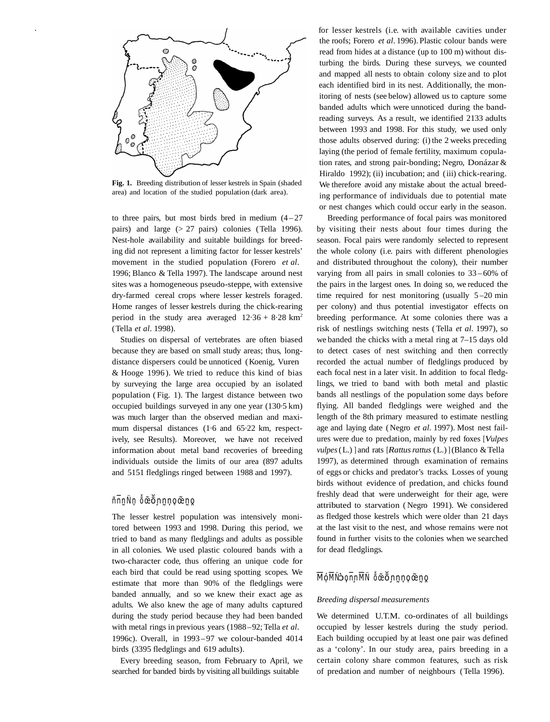

.

**Fig. 1.** Breeding distribution of lesser kestrels in Spain (shaded area) and location of the studied population (dark area).

to three pairs, but most birds bred in medium  $(4-27)$ pairs) and large (> 27 pairs) colonies (Tella 1996). Nest-hole availability and suitable buildings for breeding did not represent a limiting factor for lesser kestrels' movement in the studied population (Forero *et al*. 1996; Blanco & Tella 1997). The landscape around nest sites was a homogeneous pseudo-steppe, with extensive dry-farmed cereal crops where lesser kestrels foraged. Home ranges of lesser kestrels during the chick-rearing period in the study area averaged  $12.36 + 8.28$  km<sup>2</sup> (Tella *et al*. 1998).

Studies on dispersal of vertebrates are often biased because they are based on small study areas; thus, longdistance dispersers could be unnoticed (Koenig, Vuren & Hooge 1996 ). We tried to reduce this kind of bias by surveying the large area occupied by an isolated population ( Fig. 1). The largest distance between two occupied buildings surveyed in any one year (130·5 km) was much larger than the observed median and maximum dispersal distances (1·6 and 65·22 km, respectively, see Results). Moreover, we have not received information about metal band recoveries of breeding individuals outside the limits of our area (897 adults and 5151 fledglings ringed between 1988 and 1997).

### ñnnÑn òmönnnomno

The lesser kestrel population was intensively monitored between 1993 and 1998. During this period, we tried to band as many fledglings and adults as possible in all colonies. We used plastic coloured bands with a two-character code, thus offering an unique code for each bird that could be read using spotting scopes. We estimate that more than 90% of the fledglings were banded annually, and so we knew their exact age as adults. We also knew the age of many adults captured during the study period because they had been banded with metal rings in previous years (1988–92; Tella *et al*. 1996c). Overall, in 1993 – 97 we colour-banded 4014 birds (3395 fledglings and 619 adults).

Every breeding season, from February to April, we searched for banded birds by visiting all buildings suitable

for lesser kestrels (i.e. with available cavities under the roofs; Forero *et al*. 1996). Plastic colour bands were read from hides at a distance (up to 100 m) without disturbing the birds. During these surveys, we counted and mapped all nests to obtain colony size and to plot each identified bird in its nest. Additionally, the monitoring of nests (see below) allowed us to capture some banded adults which were unnoticed during the bandreading surveys. As a result, we identified 2133 adults between 1993 and 1998. For this study, we used only those adults observed during: (i) the 2 weeks preceding laying (the period of female fertility, maximum copulation rates, and strong pair-bonding; Negro, Donázar & Hiraldo 1992); (ii) incubation; and (iii) chick-rearing. We therefore avoid any mistake about the actual breeding performance of individuals due to potential mate or nest changes which could occur early in the season.

Breeding performance of focal pairs was monitored by visiting their nests about four times during the season. Focal pairs were randomly selected to represent the whole colony (i.e. pairs with different phenologies and distributed throughout the colony), their number varying from all pairs in small colonies to 33 – 60% of the pairs in the largest ones. In doing so, we reduced the time required for nest monitoring (usually 5 –20 min per colony) and thus potential investigator effects on breeding performance. At some colonies there was a risk of nestlings switching nests (Tella *et al*. 1997), so we banded the chicks with a metal ring at 7–15 days old to detect cases of nest switching and then correctly recorded the actual number of fledglings produced by each focal nest in a later visit. In addition to focal fledglings, we tried to band with both metal and plastic bands all nestlings of the population some days before flying. All banded fledglings were weighed and the length of the 8th primary measured to estimate nestling age and laying date ( Negro *et al*. 1997). Most nest failures were due to predation, mainly by red foxes [*Vulpes vulpes* (L.) ] and rats [*Rattus rattus* (L.)] (Blanco & Tella 1997), as determined through examination of remains of eggs or chicks and predator's tracks. Losses of young birds without evidence of predation, and chicks found freshly dead that were underweight for their age, were attributed to starvation ( Negro 1991). We considered as fledged those kestrels which were older than 21 days at the last visit to the nest, and whose remains were not found in further visits to the colonies when we searched for dead fledglings.

# MóMNSonnMN ổãonnnoãno

### *Breeding dispersal measurements*

We determined U.T.M. co-ordinates of all buildings occupied by lesser kestrels during the study period. Each building occupied by at least one pair was defined as a 'colony'. In our study area, pairs breeding in a certain colony share common features, such as risk of predation and number of neighbours (Tella 1996).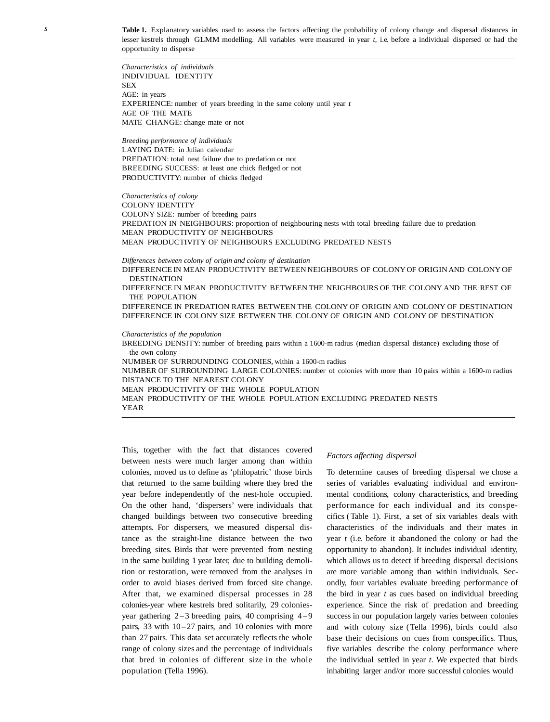*s* **Table 1.** Explanatory variables used to assess the factors affecting the probability of colony change and dispersal distances in lesser kestrels through GLMM modelling. All variables were measured in year *t*, i.e. before a individual dispersed or had the opportunity to disperse

> *Characteristics of individuals*  INDIVIDUAL IDENTITY SEX AGE: in years EXPERIENCE: number of years breeding in the same colony until year *t* AGE OF THE MATE MATE CHANGE: change mate or not

*Breeding performance of individuals* LAYING DATE: in Julian calendar PREDATION: total nest failure due to predation or not BREEDING SUCCESS: at least one chick fledged or not PRODUCTIVITY: number of chicks fledged

*Characteristics of colony* COLONY IDENTITY COLONY SIZE: number of breeding pairs PREDATION IN NEIGHBOURS: proportion of neighbouring nests with total breeding failure due to predation MEAN PRODUCTIVITY OF NEIGHBOURS MEAN PRODUCTIVITY OF NEIGHBOURS EXCLUDING PREDATED NESTS

*Differences between colony of origin and colony of destination*

DIFFERENCE IN MEAN PRODUCTIVITY BETWEEN NEIGHBOURS OF COLONYOF ORIGIN AND COLONYOF DESTINATION

DIFFERENCE IN MEAN PRODUCTIVITY BETWEEN THE NEIGHBOURS OF THE COLONY AND THE REST OF THE POPULATION

DIFFERENCE IN PREDATION RATES BETWEEN THE COLONY OF ORIGIN AND COLONY OF DESTINATION DIFFERENCE IN COLONY SIZE BETWEEN THE COLONY OF ORIGIN AND COLONY OF DESTINATION

*Characteristics of the population*

BREEDING DENSITY: number of breeding pairs within a 1600-m radius (median dispersal distance) excluding those of the own colony

NUMBER OF SURROUNDING COLONIES, within a 1600-m radius

NUMBER OF SURROUNDING LARGE COLONIES: number of colonies with more than 10 pairs within a 1600-m radius DISTANCE TO THE NEAREST COLONY

MEAN PRODUCTIVITY OF THE WHOLE POPULATION

MEAN PRODUCTIVITY OF THE WHOLE POPULATION EXCLUDING PREDATED NESTS

YEAR

This, together with the fact that distances covered between nests were much larger among than within colonies, moved us to define as 'philopatric' those birds that returned to the same building where they bred the year before independently of the nest-hole occupied. On the other hand, 'dispersers' were individuals that changed buildings between two consecutive breeding attempts. For dispersers, we measured dispersal distance as the straight-line distance between the two breeding sites. Birds that were prevented from nesting in the same building 1 year later, due to building demolition or restoration, were removed from the analyses in order to avoid biases derived from forced site change. After that, we examined dispersal processes in 28 colonies-year where kestrels bred solitarily, 29 coloniesyear gathering  $2 - 3$  breeding pairs, 40 comprising  $4 - 9$ pairs, 33 with  $10-27$  pairs, and 10 colonies with more than 27 pairs. This data set accurately reflects the whole range of colony sizes and the percentage of individuals that bred in colonies of different size in the whole population (Tella 1996).

#### *Factors affecting dispersal*

To determine causes of breeding dispersal we chose a series of variables evaluating individual and environmental conditions, colony characteristics, and breeding performance for each individual and its conspecifics (Table 1). First, a set of six variables deals with characteristics of the individuals and their mates in year *t* (i.e. before it abandoned the colony or had the opportunity to abandon). It includes individual identity, which allows us to detect if breeding dispersal decisions are more variable among than within individuals. Secondly, four variables evaluate breeding performance of the bird in year *t* as cues based on individual breeding experience. Since the risk of predation and breeding success in our population largely varies between colonies and with colony size (Tella 1996), birds could also base their decisions on cues from conspecifics. Thus, five variables describe the colony performance where the individual settled in year *t*. We expected that birds inhabiting larger and/or more successful colonies would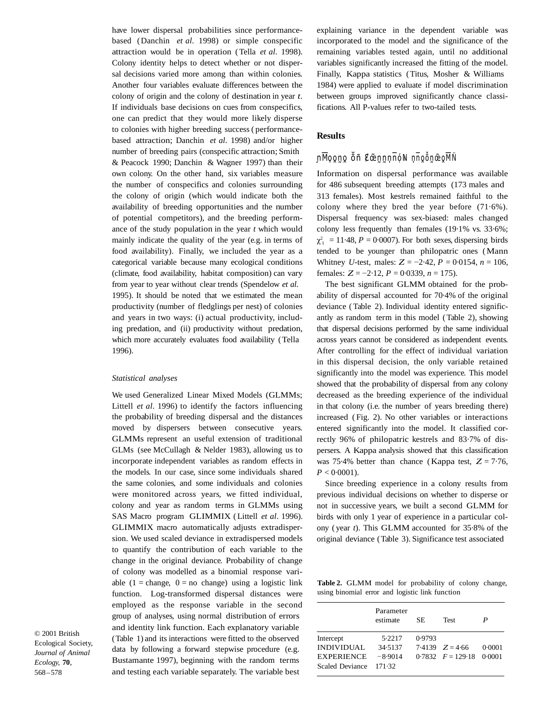have lower dispersal probabilities since performancebased (Danchin *et al*. 1998) or simple conspecific attraction would be in operation (Tella *et al*. 1998). Colony identity helps to detect whether or not dispersal decisions varied more among than within colonies. Another four variables evaluate differences between the colony of origin and the colony of destination in year *t*. If individuals base decisions on cues from conspecifics, one can predict that they would more likely disperse to colonies with higher breeding success ( performancebased attraction; Danchin *et al*. 1998) and/or higher number of breeding pairs (conspecific attraction; Smith & Peacock 1990; Danchin & Wagner 1997) than their own colony. On the other hand, six variables measure the number of conspecifics and colonies surrounding the colony of origin (which would indicate both the availability of breeding opportunities and the number of potential competitors), and the breeding performance of the study population in the year *t* which would mainly indicate the quality of the year (e.g. in terms of food availability). Finally, we included the year as a categorical variable because many ecological conditions (climate, food availability, habitat composition) can vary from year to year without clear trends (Spendelow *et al*. 1995). It should be noted that we estimated the mean productivity (number of fledglings per nest) of colonies and years in two ways: (i) actual productivity, including predation, and (ii) productivity without predation, which more accurately evaluates food availability (Tella 1996).

#### *Statistical analyses*

We used Generalized Linear Mixed Models (GLMMs; Littell *et al*. 1996) to identify the factors influencing the probability of breeding dispersal and the distances moved by dispersers between consecutive years. GLMMs represent an useful extension of traditional GLMs (see McCullagh & Nelder 1983), allowing us to incorporate independent variables as random effects in the models. In our case, since some individuals shared the same colonies, and some individuals and colonies were monitored across years, we fitted individual, colony and year as random terms in GLMMs using SAS Macro program GLIMMIX (Littell *et al*. 1996). GLIMMIX macro automatically adjusts extradispersion. We used scaled deviance in extradispersed models to quantify the contribution of each variable to the change in the original deviance. Probability of change of colony was modelled as a binomial response variable (1 = change,  $0 = no$  change) using a logistic link function. Log-transformed dispersal distances were employed as the response variable in the second group of analyses, using normal distribution of errors and identity link function. Each explanatory variable (Table 1) and its interactions were fitted to the observed data by following a forward stepwise procedure (e.g. Bustamante 1997), beginning with the random terms 568–578 and testing each variable separately. The variable best

© 2001 British Ecological Society, *Journal of Animal Ecology*, **70**,

explaining variance in the dependent variable was incorporated to the model and the significance of the remaining variables tested again, until no additional variables significantly increased the fitting of the model. Finally, Kappa statistics (Titus, Mosher & Williams 1984) were applied to evaluate if model discrimination between groups improved significantly chance classifications. All P-values refer to two-tailed tests.

### **Results**

# n Moono on Lonnnnon nnoonoomn

 $\chi^2_{1}$  = 11.48, *P* = 0.0007). For both sexes, dispersing birds Information on dispersal performance was available for 486 subsequent breeding attempts (173 males and 313 females). Most kestrels remained faithful to the colony where they bred the year before (71·6%). Dispersal frequency was sex-biased: males changed colony less frequently than females (19·1% vs. 33·6%; tended to be younger than philopatric ones (Mann Whitney *U*-test, males: *Z* = −2·42, *P* = 0·0154, *n* = 106, females: *Z* = −2·12, *P* = 0·0339, *n* = 175).

The best significant GLMM obtained for the probability of dispersal accounted for 70·4% of the original deviance ( Table 2). Individual identity entered significantly as random term in this model (Table 2), showing that dispersal decisions performed by the same individual across years cannot be considered as independent events. After controlling for the effect of individual variation in this dispersal decision, the only variable retained significantly into the model was experience. This model showed that the probability of dispersal from any colony decreased as the breeding experience of the individual in that colony (i.e. the number of years breeding there) increased ( Fig. 2). No other variables or interactions entered significantly into the model. It classified correctly 96% of philopatric kestrels and 83·7% of dispersers. A Kappa analysis showed that this classification was 75.4% better than chance (Kappa test,  $Z = 7.76$ ,  $P < 0.0001$ ).

Since breeding experience in a colony results from previous individual decisions on whether to disperse or not in successive years, we built a second GLMM for birds with only 1 year of experience in a particular colony ( year *t*). This GLMM accounted for 35·8% of the original deviance (Table 3). Significance test associated

**Table 2.** GLMM model for probability of colony change, using binomial error and logistic link function

|                   | Parameter<br>estimate | <b>SE</b> | Test                  | P      |
|-------------------|-----------------------|-----------|-----------------------|--------|
| Intercept         | 5.2217                | 0.9793    |                       |        |
| <b>INDIVIDUAL</b> | 34.5137               |           | $7.4139$ $Z = 4.66$   | 0.0001 |
| <b>EXPERIENCE</b> | $-8.9014$             |           | $0.7832$ $F = 129.18$ | 0.0001 |
| Scaled Deviance   | 171.32                |           |                       |        |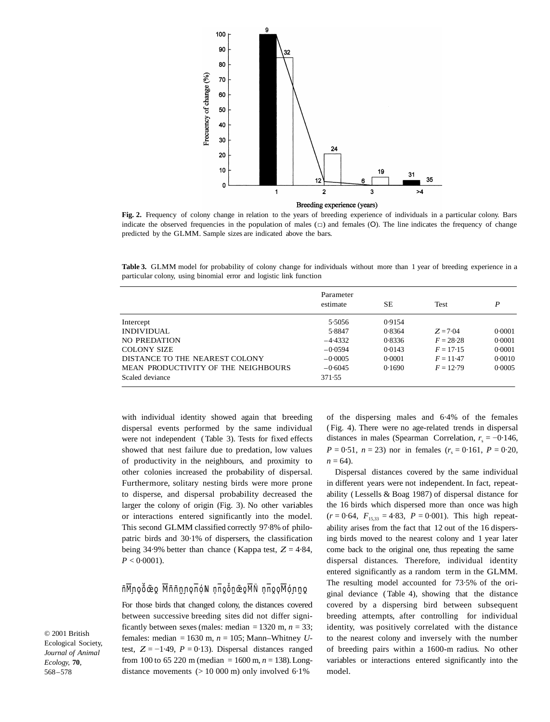

**Fig. 2.** Frequency of colony change in relation to the years of breeding experience of individuals in a particular colony. Bars indicate the observed frequencies in the population of males  $(\square)$  and females  $(0)$ . The line indicates the frequency of change predicted by the GLMM. Sample sizes are indicated above the bars.

**Table 3.** GLMM model for probability of colony change for individuals without more than 1 year of breeding experience in a particular colony, using binomial error and logistic link function

|                                     | Parameter<br>estimate | <b>SE</b> | <b>Test</b> | P      |
|-------------------------------------|-----------------------|-----------|-------------|--------|
| Intercept                           | 5.5056                | 0.9154    |             |        |
| INDIVIDUAL                          | 5.8847                | 0.8364    | $Z = 7.04$  | 0.0001 |
| NO PREDATION                        | $-4.4332$             | 0.8336    | $F = 28.28$ | 0.0001 |
| <b>COLONY SIZE</b>                  | $-0.0594$             | 0.0143    | $F = 17.15$ | 0.0001 |
| DISTANCE TO THE NEAREST COLONY      | $-0.0005$             | 0.0001    | $F = 11.47$ | 0.0010 |
| MEAN PRODUCTIVITY OF THE NEIGHBOURS | $-0.6045$             | 0.1690    | $F = 12.79$ | 0.0005 |
| Scaled deviance                     | 371.55                |           |             |        |

with individual identity showed again that breeding dispersal events performed by the same individual were not independent (Table 3). Tests for fixed effects showed that nest failure due to predation, low values of productivity in the neighbours, and proximity to other colonies increased the probability of dispersal. Furthermore, solitary nesting birds were more prone to disperse, and dispersal probability decreased the larger the colony of origin (Fig. 3). No other variables or interactions entered significantly into the model. This second GLMM classified correctly 97·8% of philopatric birds and 30·1% of dispersers, the classification being 34.9% better than chance (Kappa test,  $Z = 4.84$ ,  $P < 0.0001$ ).

### ñMnoŏæo MññnnonóN nnoŏnæoMÑ nnooMónno

For those birds that changed colony, the distances covered between successive breeding sites did not differ significantly between sexes (males: median  $= 1320$  m,  $n = 33$ ; females: median = 1630 m, *n* = 105; Mann–Whitney *U*test,  $Z = -1.49$ ,  $P = 0.13$ ). Dispersal distances ranged from 100 to 65 220 m (median = 1600 m,  $n = 138$ ). Longdistance movements  $(> 10 000 \text{ m})$  only involved 6.1%

of the dispersing males and 6·4% of the females ( Fig. 4). There were no age-related trends in dispersal distances in males (Spearman Correlation,  $r_s = -0.146$ ,  $P = 0.51$ ,  $n = 23$ ) nor in females ( $r_s = 0.161$ ,  $P = 0.20$ ,  $n = 64$ ).

Dispersal distances covered by the same individual in different years were not independent. In fact, repeatability ( Lessells & Boag 1987) of dispersal distance for the 16 birds which dispersed more than once was high  $(r = 0.64, F<sub>15,33</sub> = 4.83, P = 0.001)$ . This high repeatability arises from the fact that 12 out of the 16 dispersing birds moved to the nearest colony and 1 year later come back to the original one, thus repeating the same dispersal distances. Therefore, individual identity entered significantly as a random term in the GLMM. The resulting model accounted for 73·5% of the original deviance (Table 4), showing that the distance covered by a dispersing bird between subsequent breeding attempts, after controlling for individual identity, was positively correlated with the distance to the nearest colony and inversely with the number of breeding pairs within a 1600-m radius. No other variables or interactions entered significantly into the model.

© 2001 British Ecological Society, *Journal of Animal Ecology*, **70**, 568–578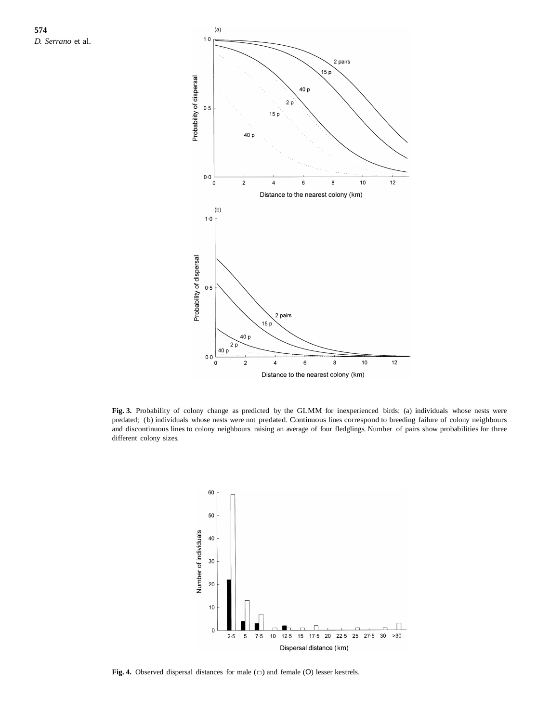**574** *D. Serrano* et al.



**Fig. 3.** Probability of colony change as predicted by the GLMM for inexperienced birds: (a) individuals whose nests were predated; (b) individuals whose nests were not predated. Continuous lines correspond to breeding failure of colony neighbours and discontinuous lines to colony neighbours raising an average of four fledglings. Number of pairs show probabilities for three different colony sizes.



**Fig. 4.** Observed dispersal distances for male (□) and female (O) lesser kestrels.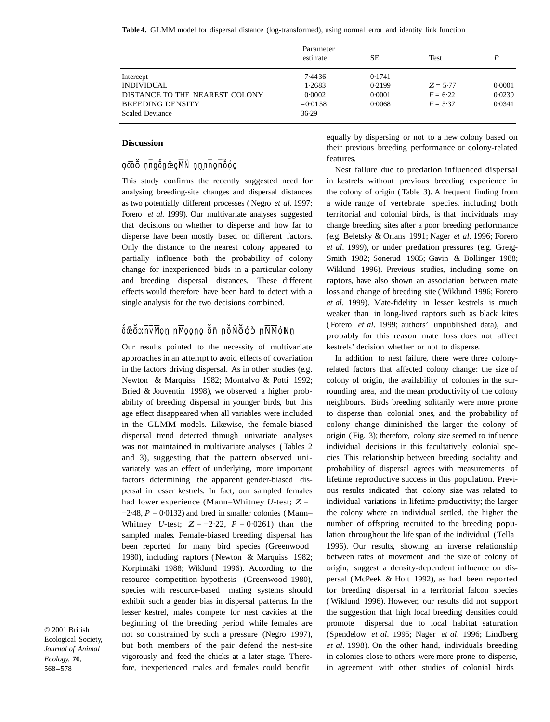**Table 4.** GLMM model for dispersal distance (log-transformed), using normal error and identity link function

|                                | Parameter<br>estimate | SЕ     | Test       | P      |
|--------------------------------|-----------------------|--------|------------|--------|
| Intercept                      | 7.4436                | 0.1741 |            |        |
| INDIVIDUAL                     | 1.2683                | 0.2199 | $Z = 5.77$ | 0.0001 |
| DISTANCE TO THE NEAREST COLONY | 0.0002                | 0.0001 | $F = 6.22$ | 0.0239 |
| <b>BREEDING DENSITY</b>        | $-0.0158$             | 0.0068 | $F = 5.37$ | 0.0341 |
| <b>Scaled Deviance</b>         | 36.29                 |        |            |        |

### **Discussion**

# oळõ nnoonc@mÑ nnnnonooo

This study confirms the recently suggested need for analysing breeding-site changes and dispersal distances as two potentially different processes ( Negro *et al*. 1997; Forero *et al*. 1999). Our multivariate analyses suggested that decisions on whether to disperse and how far to disperse have been mostly based on different factors. Only the distance to the nearest colony appeared to partially influence both the probability of colony change for inexperienced birds in a particular colony and breeding dispersal distances. These different effects would therefore have been hard to detect with a single analysis for the two decisions combined.

# $\delta$ æð $\delta$ : $\overline{n}$ v $\overline{n}$ on n $\overline{n}$ oono ðn n $\delta$ Ñðó $\delta$  n $\overline{N}\overline{M}$ ó $N$ n

Our results pointed to the necessity of multivariate approaches in an attempt to avoid effects of covariation in the factors driving dispersal. As in other studies (e.g. Newton & Marquiss 1982; Montalvo & Potti 1992; Bried & Jouventin 1998), we observed a higher probability of breeding dispersal in younger birds, but this age effect disappeared when all variables were included in the GLMM models. Likewise, the female-biased dispersal trend detected through univariate analyses was not maintained in multivariate analyses (Tables 2 and 3), suggesting that the pattern observed univariately was an effect of underlying, more important factors determining the apparent gender-biased dispersal in lesser kestrels. In fact, our sampled females had lower experience (Mann–Whitney  $U$ -test;  $Z =$  $-2.48$ ,  $P = 0.0132$ ) and bred in smaller colonies (Mann– Whitney *U*-test;  $Z = -2.22$ ,  $P = 0.0261$ ) than the sampled males. Female-biased breeding dispersal has been reported for many bird species (Greenwood 1980), including raptors (Newton & Marquiss 1982; Korpimäki 1988; Wiklund 1996). According to the resource competition hypothesis (Greenwood 1980), species with resource-based mating systems should exhibit such a gender bias in dispersal patterns. In the lesser kestrel, males compete for nest cavities at the beginning of the breeding period while females are not so constrained by such a pressure (Negro 1997), but both members of the pair defend the nest-site vigorously and feed the chicks at a later stage. Therefore, inexperienced males and females could benefit

© 2001 British Ecological Society, *Journal of Animal Ecology*, **70**, 568–578

equally by dispersing or not to a new colony based on their previous breeding performance or colony-related features.

Nest failure due to predation influenced dispersal in kestrels without previous breeding experience in the colony of origin (Table 3). A frequent finding from a wide range of vertebrate species, including both territorial and colonial birds, is that individuals may change breeding sites after a poor breeding performance (e.g. Beletsky & Orians 1991; Nager *et al*. 1996; Forero *et al*. 1999), or under predation pressures (e.g. Greig-Smith 1982; Sonerud 1985; Gavin & Bollinger 1988; Wiklund 1996). Previous studies, including some on raptors, have also shown an association between mate loss and change of breeding site (Wiklund 1996; Forero *et al*. 1999). Mate-fidelity in lesser kestrels is much weaker than in long-lived raptors such as black kites ( Forero *et al*. 1999; authors' unpublished data), and probably for this reason mate loss does not affect kestrels' decision whether or not to disperse.

In addition to nest failure, there were three colonyrelated factors that affected colony change: the size of colony of origin, the availability of colonies in the surrounding area, and the mean productivity of the colony neighbours. Birds breeding solitarily were more prone to disperse than colonial ones, and the probability of colony change diminished the larger the colony of origin ( Fig. 3); therefore, colony size seemed to influence individual decisions in this facultatively colonial species. This relationship between breeding sociality and probability of dispersal agrees with measurements of lifetime reproductive success in this population. Previous results indicated that colony size was related to individual variations in lifetime productivity; the larger the colony where an individual settled, the higher the number of offspring recruited to the breeding population throughout the life span of the individual (Tella 1996). Our results, showing an inverse relationship between rates of movement and the size of colony of origin, suggest a density-dependent influence on dispersal (McPeek & Holt 1992), as had been reported for breeding dispersal in a territorial falcon species ( Wiklund 1996). However, our results did not support the suggestion that high local breeding densities could promote dispersal due to local habitat saturation (Spendelow *et al*. 1995; Nager *et al*. 1996; Lindberg *et al*. 1998). On the other hand, individuals breeding in colonies close to others were more prone to disperse, in agreement with other studies of colonial birds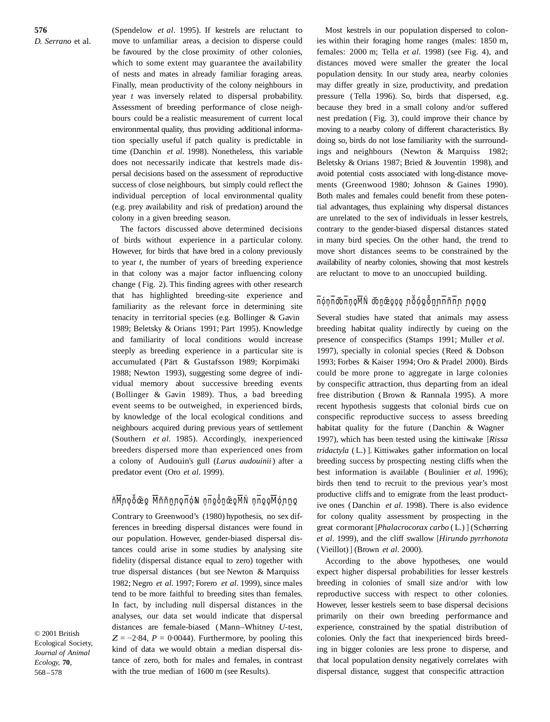(Spendelow *et al*. 1995). If kestrels are reluctant to move to unfamiliar areas, a decision to disperse could be favoured by the close proximity of other colonies, which to some extent may guarantee the availability of nests and mates in already familiar foraging areas. Finally, mean productivity of the colony neighbours in year *t* was inversely related to dispersal probability. Assessment of breeding performance of close neighbours could be a realistic measurement of current local environmental quality, thus providing additional information specially useful if patch quality is predictable in time (Danchin *et al*. 1998). Nonetheless, this variable does not necessarily indicate that kestrels made dispersal decisions based on the assessment of reproductive success of close neighbours, but simply could reflect the individual perception of local environmental quality (e.g. prey availability and risk of predation) around the colony in a given breeding season.

The factors discussed above determined decisions of birds without experience in a particular colony. However, for birds that have bred in a colony previously to year *t*, the number of years of breeding experience in that colony was a major factor influencing colony change ( Fig. 2). This finding agrees with other research that has highlighted breeding-site experience and familiarity as the relevant force in determining site tenacity in territorial species (e.g. Bollinger & Gavin 1989; Beletsky & Orians 1991; Pärt 1995). Knowledge and familiarity of local conditions would increase steeply as breeding experience in a particular site is accumulated (Pärt & Gustafsson 1989; Korpimäki 1988; Newton 1993), suggesting some degree of individual memory about successive breeding events (Bollinger & Gavin 1989). Thus, a bad breeding event seems to be outweighed, in experienced birds, by knowledge of the local ecological conditions and neighbours acquired during previous years of settlement (Southern *et al*. 1985). Accordingly, inexperienced breeders dispersed more than experienced ones from a colony of Audouin's gull (*Larus audouinii*) after a predator event (Oro *et al*. 1999).

# ñMnoŏœo MññnnoñóN nnoŏnœoMÑ nnooMónno

Contrary to Greenwood's (1980) hypothesis, no sex differences in breeding dispersal distances were found in our population. However, gender-biased dispersal distances could arise in some studies by analysing site fidelity (dispersal distance equal to zero) together with true dispersal distances (but see Newton & Marquiss 1982; Negro *et al*. 1997; Forero *et al*. 1999), since males tend to be more faithful to breeding sites than females. In fact, by including null dispersal distances in the analyses, our data set would indicate that dispersal distances are female-biased (Mann–Whitney *U*-test,  $Z = -2.84$ ,  $P = 0.0044$ ). Furthermore, by pooling this kind of data we would obtain a median dispersal distance of zero, both for males and females, in contrast with the true median of 1600 m (see Results).

© 2001 British Ecological Society, *Journal of Animal Ecology*, **70**, 568–578

Most kestrels in our population dispersed to colonies within their foraging home ranges (males: 1850 m, females: 2000 m; Tella *et al*. 1998) (see Fig. 4), and distances moved were smaller the greater the local population density. In our study area, nearby colonies may differ greatly in size, productivity, and predation pressure (Tella 1996). So, birds that dispersed, e.g. because they bred in a small colony and/or suffered nest predation ( Fig. 3), could improve their chance by moving to a nearby colony of different characteristics. By doing so, birds do not lose familiarity with the surroundings and neighbours (Newton & Marquiss 1982; Beletsky & Orians 1987; Bried & Jouventin 1998), and avoid potential costs associated with long-distance movements (Greenwood 1980; Johnson & Gaines 1990). Both males and females could benefit from these potential advantages, thus explaining why dispersal distances are unrelated to the sex of individuals in lesser kestrels, contrary to the gender-biased dispersal distances stated in many bird species. On the other hand, the trend to move short distances seems to be constrained by the availability of nearby colonies, showing that most kestrels are reluctant to move to an unoccupied building.

# nónnoonnoMN onnego noogonnunnun nong

Several studies have stated that animals may assess breeding habitat quality indirectly by cueing on the presence of conspecifics (Stamps 1991; Muller *et al*. 1997), specially in colonial species (Reed & Dobson 1993; Forbes & Kaiser 1994; Oro & Pradel 2000). Birds could be more prone to aggregate in large colonies by conspecific attraction, thus departing from an ideal free distribution (Brown & Rannala 1995). A more recent hypothesis suggests that colonial birds cue on conspecific reproductive success to assess breeding habitat quality for the future (Danchin & Wagner 1997), which has been tested using the kittiwake [*Rissa tridactyla* ( L.) ]. Kittiwakes gather information on local breeding success by prospecting nesting cliffs when the best information is available (Boulinier *et al*. 1996); birds then tend to recruit to the previous year's most productive cliffs and to emigrate from the least productive ones ( Danchin *et al*. 1998). There is also evidence for colony quality assessment by prospecting in the great cormorant [*Phalacrocorax carbo* ( L.) ] (Schørring *et al*. 1999), and the cliff swallow [*Hirundo pyrrhonota*  (Vieillot) ] (Brown *et al*. 2000).

According to the above hypotheses, one would expect higher dispersal probabilities for lesser kestrels breeding in colonies of small size and/or with low reproductive success with respect to other colonies. However, lesser kestrels seem to base dispersal decisions primarily on their own breeding performance and experience, constrained by the spatial distribution of colonies. Only the fact that inexperienced birds breeding in bigger colonies are less prone to disperse, and that local population density negatively correlates with dispersal distance, suggest that conspecific attraction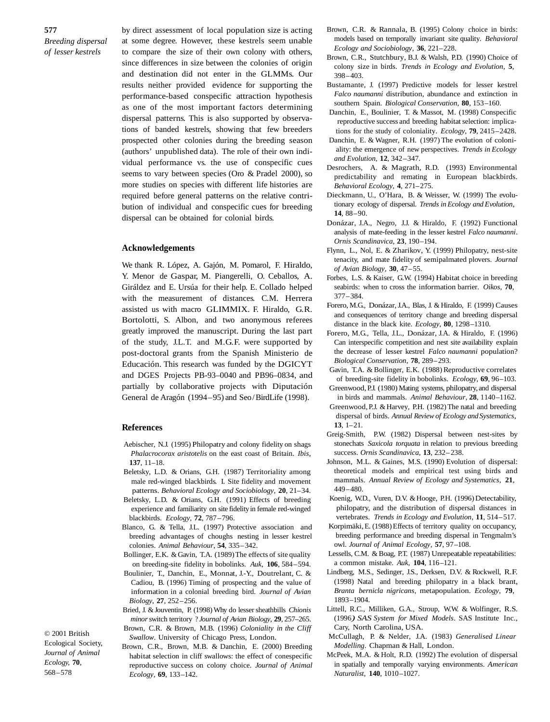by direct assessment of local population size is acting at some degree. However, these kestrels seem unable to compare the size of their own colony with others, since differences in size between the colonies of origin and destination did not enter in the GLMMs. Our results neither provided evidence for supporting the performance-based conspecific attraction hypothesis as one of the most important factors determining dispersal patterns. This is also supported by observations of banded kestrels, showing that few breeders prospected other colonies during the breeding season (authors' unpublished data). The role of their own individual performance vs. the use of conspecific cues seems to vary between species (Oro & Pradel 2000), so more studies on species with different life histories are required before general patterns on the relative contribution of individual and conspecific cues for breeding dispersal can be obtained for colonial birds.

#### **Acknowledgements**

We thank R. López, A. Gajón, M. Pomarol, F. Hiraldo, Y. Menor de Gaspar, M. Piangerelli, O. Ceballos, A. Giráldez and E. Ursúa for their help. E. Collado helped with the measurement of distances. C.M. Herrera assisted us with macro GLIMMIX. F. Hiraldo, G.R. Bortolotti, S. Albon, and two anonymous referees greatly improved the manuscript. During the last part of the study, J.L.T. and M.G.F. were supported by post-doctoral grants from the Spanish Ministerio de Educación. This research was funded by the DGICYT and DGES Projects PB-93–0040 and PB96–0834, and partially by collaborative projects with Diputación General de Aragón (1994–95) and Seo/BirdLife (1998).

#### **References**

- Aebischer, N.J. (1995) Philopatry and colony fidelity on shags *Phalacrocorax aristotelis* on the east coast of Britain. *Ibis*, **137**, 11–18.
- Beletsky, L.D. & Orians, G.H. (1987) Territoriality among male red-winged blackbirds. I. Site fidelity and movement patterns. *Behavioral Ecology and Sociobiology*, **20**, 21–34.
- Beletsky, L.D. & Orians, G.H. (1991) Effects of breeding experience and familiarity on site fidelity in female red-winged blackbirds. *Ecology*, **72**, 787–796.
- Blanco, G. & Tella, J.L. (1997) Protective association and breeding advantages of choughs nesting in lesser kestrel colonies. *Animal Behaviour*, **54**, 335–342.
- Bollinger, E.K. & Gavin, T.A. (1989) The effects of site quality on breeding-site fidelity in bobolinks. *Auk*, **106**, 584–594.
- Boulinier, T., Danchin, E., Monnat, J.-Y., Doutrelant, C. & Cadiou, B. (1996) Timing of prospecting and the value of information in a colonial breeding bird*. Journal of Avian Biology*, **27**, 252–256.
- Bried, J. & Jouventin, P. (1998) Why do lesser sheathbills *Chionis minor*switch territory ? *Journal of Avian Biology*, **29**, 257–265. Brown, C.R. & Brown, M.B. (1996) *Coloniality in the Cliff Swallow*. University of Chicago Press, London.

© 2001 British Ecological Society, *Journal of Animal Ecology*, **70**, 568–578

Brown, C.R., Brown, M.B. & Danchin, E. (2000) Breeding habitat selection in cliff swallows: the effect of conespecific reproductive success on colony choice. *Journal of Animal Ecology*, **69**, 133–142.

- Brown, C.R. & Rannala, B. (1995) Colony choice in birds: models based on temporally invariant site quality. *Behavioral Ecology and Sociobiology*, **36**, 221–228.
- Brown, C.R., Stutchbury, B.J. & Walsh, P.D. (1990) Choice of colony size in birds. *Trends in Ecology and Evolution*, **5**, 398–403.
- Bustamante, J. (1997) Predictive models for lesser kestrel *Falco naumanni* distribution, abundance and extinction in southern Spain. *Biological Conservation*, **80**, 153–160.
- Danchin, E., Boulinier, T. & Massot, M. (1998) Conspecific reproductive success and breeding habitat selection: implications for the study of coloniality. *Ecology*, **79**, 2415–2428.
- Danchin, E. & Wagner, R.H. (1997) The evolution of coloniality: the emergence of new perspectives. *Trends in Ecology and Evolution*, **12**, 342–347.
- Desrochers, A. & Magrath, R.D. (1993) Environmental predictability and remating in European blackbirds. *Behavioral Ecology*, **4**, 271–275.
- Dieckmann, U., O'Hara, B. & Weisser, W. (1999) The evolutionary ecology of dispersal. *Trends in Ecology and Evolution*, **14**, 88–90.
- Donázar, J.A., Negro, J.J. & Hiraldo, F. (1992) Functional analysis of mate-feeding in the lesser kestrel *Falco naumanni*. *Ornis Scandinavica*, **23**, 190–194.
- Flynn, L., Nol, E. & Zharikov, Y. (1999) Philopatry, nest-site tenacity, and mate fidelity of semipalmated plovers. *Journal of Avian Biology*, **30**, 47–55.
- Forbes, L.S. & Kaiser, G.W. (1994) Habitat choice in breeding seabirds: when to cross the information barrier. *Oikos*, **70**, 377–384.
- Forero, M.G., Donázar,J.A., Blas, J. & Hiraldo, F. (1999) Causes and consequences of territory change and breeding dispersal distance in the black kite. *Ecology*, **80**, 1298–1310.
- Forero, M.G., Tella, J.L., Donázar, J.A. & Hiraldo, F. (1996) Can interspecific competition and nest site availability explain the decrease of lesser kestrel *Falco naumanni* population? *Biological Conservation*, **78**, 289–293.
- Gavin, T.A. & Bollinger, E.K. (1988) Reproductive correlates of breeding-site fidelity in bobolinks. *Ecology*, **69**, 96–103.
- Greenwood,P.J. (1980) Mating systems, philopatry, and dispersal in birds and mammals. *Animal Behaviour*, **28**, 1140–1162.
- Greenwood, P.J. & Harvey, P.H. (1982) The natal and breeding dispersal of birds. *Annual Reviewof Ecology and Systematics*, **13**, 1–21.
- Greig-Smith, P.W. (1982) Dispersal between nest-sites by stonechats *Saxicola torquata* in relation to previous breeding success. *Ornis Scandinavica*, **13**, 232–238.
- Johnson, M.L. & Gaines, M.S. (1990) Evolution of dispersal: theoretical models and empirical test using birds and mammals. *Annual Review of Ecology and Systematics*, **21**, 449–480.
- Koenig, W.D., Vuren, D.V. & Hooge, P.H. (1996)Detectability, philopatry, and the distribution of dispersal distances in vertebrates. *Trends in Ecology and Evolution*, **11**, 514–517.
- Korpimäki,E. (1988)Effects of territory quality on occupancy, breeding performance and breeding dispersal in Tengmalm's owl. *Journal of Animal Ecology*, **57**, 97–108.
- Lessells, C.M. & Boag, P.T. (1987) Unrepeatable repeatabilities: a common mistake. *Auk*, **104**, 116–121.
- Lindberg, M.S., Sedinger, J.S., Derksen, D.V. & Rockwell, R.F. (1998) Natal and breeding philopatry in a black brant, *Branta bernicla nigricans*, metapopulation. *Ecology*, **79**, 1893–1904.
- Littell, R.C., Milliken, G.A., Stroup, W.W. & Wolfinger, R.S. (1996*) SAS System for Mixed Models*. SAS Institute Inc., Cary, North Carolina, USA.
- McCullagh, P. & Nelder, J.A. (1983) *Generalised Linear Modelling*. Chapman & Hall, London.
- McPeek, M.A. & Holt, R.D. (1992) The evolution of dispersal in spatially and temporally varying environments. *American Naturalist*, **140**, 1010–1027.